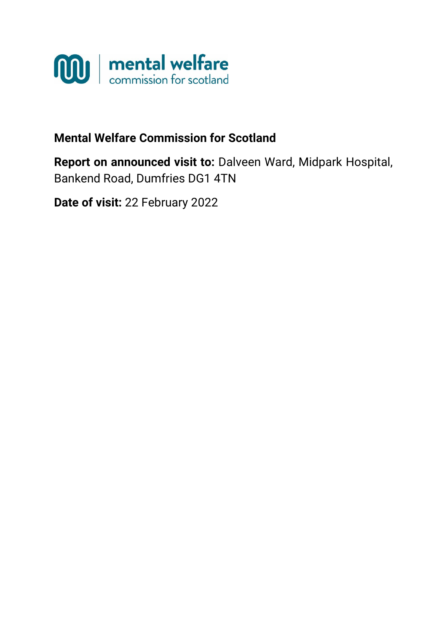

# **Mental Welfare Commission for Scotland**

**Report on announced visit to:** Dalveen Ward, Midpark Hospital, Bankend Road, Dumfries DG1 4TN

**Date of visit:** 22 February 2022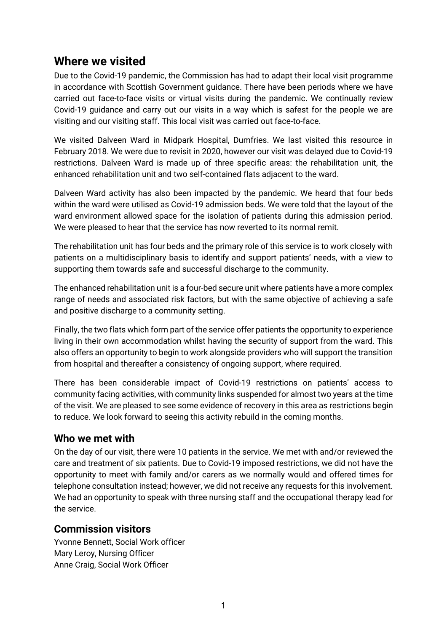# **Where we visited**

Due to the Covid-19 pandemic, the Commission has had to adapt their local visit programme in accordance with Scottish Government guidance. There have been periods where we have carried out face-to-face visits or virtual visits during the pandemic. We continually review Covid-19 guidance and carry out our visits in a way which is safest for the people we are visiting and our visiting staff. This local visit was carried out face-to-face.

We visited Dalveen Ward in Midpark Hospital, Dumfries. We last visited this resource in February 2018. We were due to revisit in 2020, however our visit was delayed due to Covid-19 restrictions. Dalveen Ward is made up of three specific areas: the rehabilitation unit, the enhanced rehabilitation unit and two self-contained flats adjacent to the ward.

Dalveen Ward activity has also been impacted by the pandemic. We heard that four beds within the ward were utilised as Covid-19 admission beds. We were told that the layout of the ward environment allowed space for the isolation of patients during this admission period. We were pleased to hear that the service has now reverted to its normal remit.

The rehabilitation unit has four beds and the primary role of this service is to work closely with patients on a multidisciplinary basis to identify and support patients' needs, with a view to supporting them towards safe and successful discharge to the community.

The enhanced rehabilitation unit is a four-bed secure unit where patients have a more complex range of needs and associated risk factors, but with the same objective of achieving a safe and positive discharge to a community setting.

Finally, the two flats which form part of the service offer patients the opportunity to experience living in their own accommodation whilst having the security of support from the ward. This also offers an opportunity to begin to work alongside providers who will support the transition from hospital and thereafter a consistency of ongoing support, where required.

There has been considerable impact of Covid-19 restrictions on patients' access to community facing activities, with community links suspended for almost two years at the time of the visit. We are pleased to see some evidence of recovery in this area as restrictions begin to reduce. We look forward to seeing this activity rebuild in the coming months.

### **Who we met with**

On the day of our visit, there were 10 patients in the service. We met with and/or reviewed the care and treatment of six patients. Due to Covid-19 imposed restrictions, we did not have the opportunity to meet with family and/or carers as we normally would and offered times for telephone consultation instead; however, we did not receive any requests for this involvement. We had an opportunity to speak with three nursing staff and the occupational therapy lead for the service.

### **Commission visitors**

Yvonne Bennett, Social Work officer Mary Leroy, Nursing Officer Anne Craig, Social Work Officer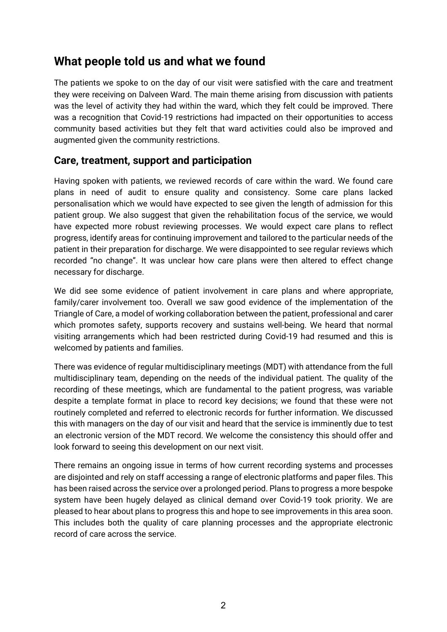# **What people told us and what we found**

The patients we spoke to on the day of our visit were satisfied with the care and treatment they were receiving on Dalveen Ward. The main theme arising from discussion with patients was the level of activity they had within the ward, which they felt could be improved. There was a recognition that Covid-19 restrictions had impacted on their opportunities to access community based activities but they felt that ward activities could also be improved and augmented given the community restrictions.

# **Care, treatment, support and participation**

Having spoken with patients, we reviewed records of care within the ward. We found care plans in need of audit to ensure quality and consistency. Some care plans lacked personalisation which we would have expected to see given the length of admission for this patient group. We also suggest that given the rehabilitation focus of the service, we would have expected more robust reviewing processes. We would expect care plans to reflect progress, identify areas for continuing improvement and tailored to the particular needs of the patient in their preparation for discharge. We were disappointed to see regular reviews which recorded "no change". It was unclear how care plans were then altered to effect change necessary for discharge.

We did see some evidence of patient involvement in care plans and where appropriate, family/carer involvement too. Overall we saw good evidence of the implementation of the Triangle of Care, a model of working collaboration between the patient, professional and carer which promotes safety, supports recovery and sustains well-being. We heard that normal visiting arrangements which had been restricted during Covid-19 had resumed and this is welcomed by patients and families.

There was evidence of regular multidisciplinary meetings (MDT) with attendance from the full multidisciplinary team, depending on the needs of the individual patient. The quality of the recording of these meetings, which are fundamental to the patient progress, was variable despite a template format in place to record key decisions; we found that these were not routinely completed and referred to electronic records for further information. We discussed this with managers on the day of our visit and heard that the service is imminently due to test an electronic version of the MDT record. We welcome the consistency this should offer and look forward to seeing this development on our next visit.

There remains an ongoing issue in terms of how current recording systems and processes are disjointed and rely on staff accessing a range of electronic platforms and paper files. This has been raised across the service over a prolonged period. Plans to progress a more bespoke system have been hugely delayed as clinical demand over Covid-19 took priority. We are pleased to hear about plans to progress this and hope to see improvements in this area soon. This includes both the quality of care planning processes and the appropriate electronic record of care across the service.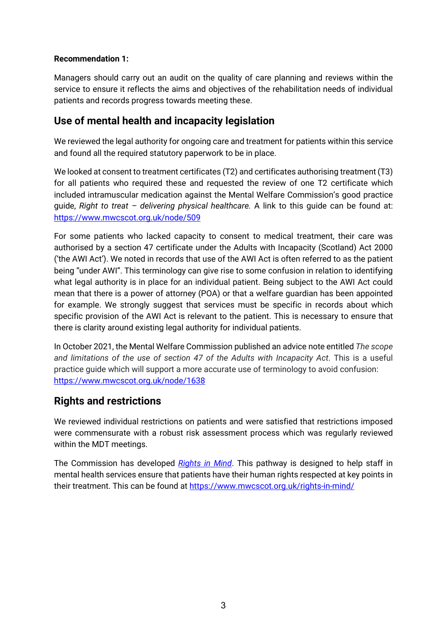#### **Recommendation 1:**

Managers should carry out an audit on the quality of care planning and reviews within the service to ensure it reflects the aims and objectives of the rehabilitation needs of individual patients and records progress towards meeting these.

# **Use of mental health and incapacity legislation**

We reviewed the legal authority for ongoing care and treatment for patients within this service and found all the required statutory paperwork to be in place.

We looked at consent to treatment certificates (T2) and certificates authorising treatment (T3) for all patients who required these and requested the review of one T2 certificate which included intramuscular medication against the Mental Welfare Commission's good practice guide, *Right to treat – delivering physical healthcare.* A link to this guide can be found at: <https://www.mwcscot.org.uk/node/509>

For some patients who lacked capacity to consent to medical treatment, their care was authorised by a section 47 certificate under the Adults with Incapacity (Scotland) Act 2000 ('the AWI Act'). We noted in records that use of the AWI Act is often referred to as the patient being "under AWI". This terminology can give rise to some confusion in relation to identifying what legal authority is in place for an individual patient. Being subject to the AWI Act could mean that there is a power of attorney (POA) or that a welfare guardian has been appointed for example. We strongly suggest that services must be specific in records about which specific provision of the AWI Act is relevant to the patient. This is necessary to ensure that there is clarity around existing legal authority for individual patients.

In October 2021, the Mental Welfare Commission published an advice note entitled *The scope and limitations of the use of section 47 of the Adults with Incapacity Act*. This is a useful practice guide which will support a more accurate use of terminology to avoid confusion: <https://www.mwcscot.org.uk/node/1638>

# **Rights and restrictions**

We reviewed individual restrictions on patients and were satisfied that restrictions imposed were commensurate with a robust risk assessment process which was regularly reviewed within the MDT meetings.

The Commission has developed *[Rights in Mind](https://www.mwcscot.org.uk/law-and-rights/rights-mind)*. This pathway is designed to help staff in mental health services ensure that patients have their human rights respected at key points in their treatment. This can be found at [https://www.mwcscot.org.uk/rights-in-mind/](https://www.mwcscot.org.uk/law-and-rights/rights-mind)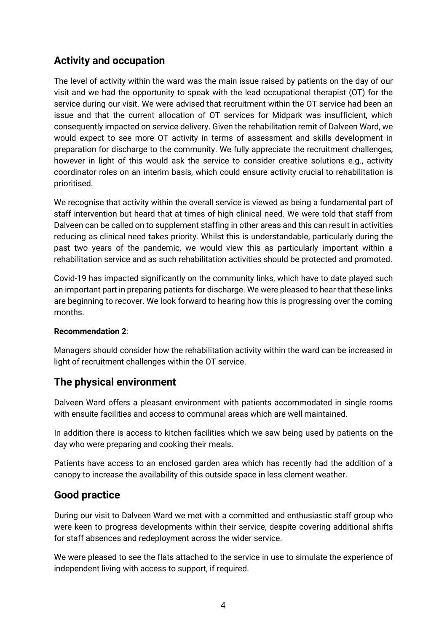# **Activity and occupation**

The level of activity within the ward was the main issue raised by patients on the day of our visit and we had the opportunity to speak with the lead occupational therapist (OT) for the service during our visit. We were advised that recruitment within the OT service had been an issue and that the current allocation of OT services for Midpark was insufficient, which consequently impacted on service delivery. Given the rehabilitation remit of Dalveen Ward, we would expect to see more OT activity in terms of assessment and skills development in preparation for discharge to the community. We fully appreciate the recruitment challenges, however in light of this would ask the service to consider creative solutions e.g., activity coordinator roles on an interim basis, which could ensure activity crucial to rehabilitation is prioritised.

We recognise that activity within the overall service is viewed as being a fundamental part of staff intervention but heard that at times of high clinical need. We were told that staff from Dalveen can be called on to supplement staffing in other areas and this can result in activities reducing as clinical need takes priority. Whilst this is understandable, particularly during the past two years of the pandemic, we would view this as particularly important within a rehabilitation service and as such rehabilitation activities should be protected and promoted.

Covid-19 has impacted significantly on the community links, which have to date played such an important part in preparing patients for discharge. We were pleased to hear that these links are beginning to recover. We look forward to hearing how this is progressing over the coming months.

#### **Recommendation 2**:

Managers should consider how the rehabilitation activity within the ward can be increased in light of recruitment challenges within the OT service.

### **The physical environment**

Dalveen Ward offers a pleasant environment with patients accommodated in single rooms with ensuite facilities and access to communal areas which are well maintained.

In addition there is access to kitchen facilities which we saw being used by patients on the day who were preparing and cooking their meals.

Patients have access to an enclosed garden area which has recently had the addition of a canopy to increase the availability of this outside space in less clement weather.

### **Good practice**

During our visit to Dalveen Ward we met with a committed and enthusiastic staff group who were keen to progress developments within their service, despite covering additional shifts for staff absences and redeployment across the wider service.

We were pleased to see the flats attached to the service in use to simulate the experience of independent living with access to support, if required.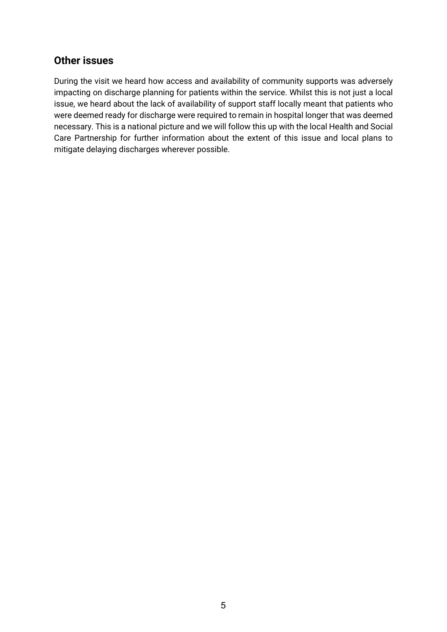## **Other issues**

During the visit we heard how access and availability of community supports was adversely impacting on discharge planning for patients within the service. Whilst this is not just a local issue, we heard about the lack of availability of support staff locally meant that patients who were deemed ready for discharge were required to remain in hospital longer that was deemed necessary. This is a national picture and we will follow this up with the local Health and Social Care Partnership for further information about the extent of this issue and local plans to mitigate delaying discharges wherever possible.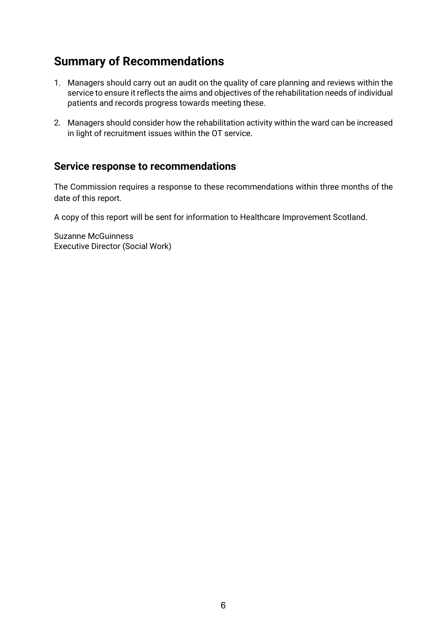# **Summary of Recommendations**

- 1. Managers should carry out an audit on the quality of care planning and reviews within the service to ensure it reflects the aims and objectives of the rehabilitation needs of individual patients and records progress towards meeting these.
- 2. Managers should consider how the rehabilitation activity within the ward can be increased in light of recruitment issues within the OT service.

## **Service response to recommendations**

The Commission requires a response to these recommendations within three months of the date of this report.

A copy of this report will be sent for information to Healthcare Improvement Scotland.

Suzanne McGuinness Executive Director (Social Work)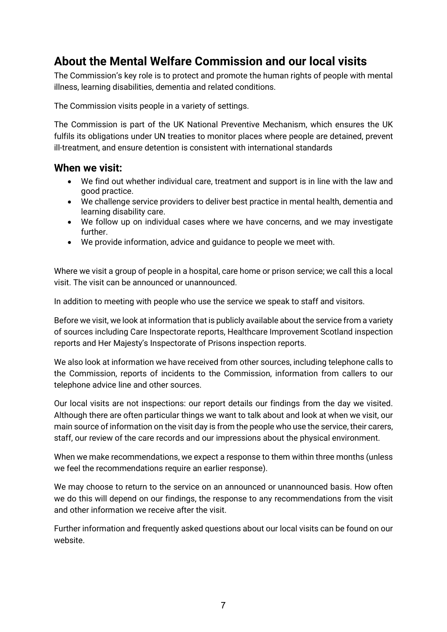# **About the Mental Welfare Commission and our local visits**

The Commission's key role is to protect and promote the human rights of people with mental illness, learning disabilities, dementia and related conditions.

The Commission visits people in a variety of settings.

The Commission is part of the UK National Preventive Mechanism, which ensures the UK fulfils its obligations under UN treaties to monitor places where people are detained, prevent ill-treatment, and ensure detention is consistent with international standards

#### **When we visit:**

- We find out whether individual care, treatment and support is in line with the law and good practice.
- We challenge service providers to deliver best practice in mental health, dementia and learning disability care.
- We follow up on individual cases where we have concerns, and we may investigate further.
- We provide information, advice and guidance to people we meet with.

Where we visit a group of people in a hospital, care home or prison service; we call this a local visit. The visit can be announced or unannounced.

In addition to meeting with people who use the service we speak to staff and visitors.

Before we visit, we look at information that is publicly available about the service from a variety of sources including Care Inspectorate reports, Healthcare Improvement Scotland inspection reports and Her Majesty's Inspectorate of Prisons inspection reports.

We also look at information we have received from other sources, including telephone calls to the Commission, reports of incidents to the Commission, information from callers to our telephone advice line and other sources.

Our local visits are not inspections: our report details our findings from the day we visited. Although there are often particular things we want to talk about and look at when we visit, our main source of information on the visit day is from the people who use the service, their carers, staff, our review of the care records and our impressions about the physical environment.

When we make recommendations, we expect a response to them within three months (unless we feel the recommendations require an earlier response).

We may choose to return to the service on an announced or unannounced basis. How often we do this will depend on our findings, the response to any recommendations from the visit and other information we receive after the visit.

Further information and frequently asked questions about our local visits can be found on our website.